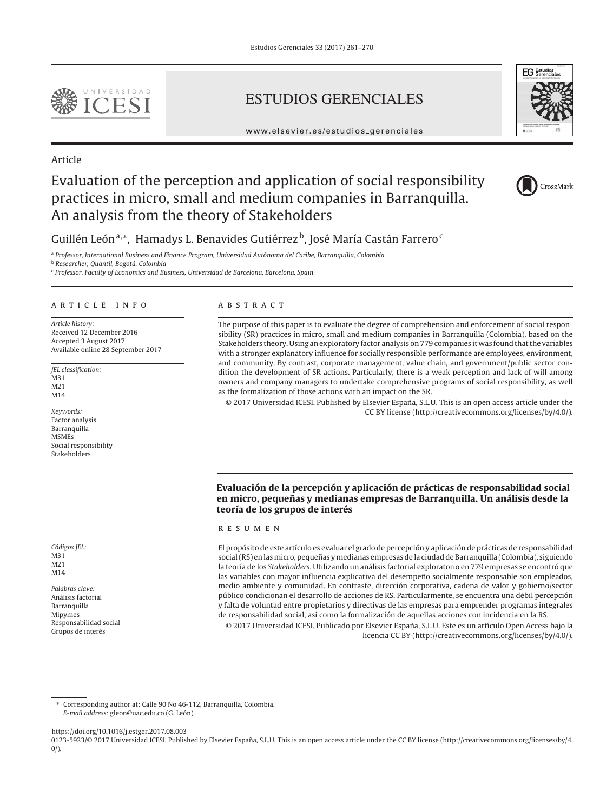

# ESTUDIOS GERENCIALES



www.elsevier.es/estudios gerenciales

# Article

# Evaluation of the perception and application of social responsibility practices in micro, small and medium companies in Barranquilla. An analysis from the theory of Stakeholders



Guillén León<sup>a,∗</sup>, Hamadys L. Benavides Gutiérrez<sup>b</sup>, José María Castán Farrero<sup>c</sup>

a Professor, International Business and Finance Program, Universidad Autónoma del Caribe, Barranquilla, Colombia

<sup>b</sup> Researcher, Quantil, Bogotá, Colombia

<sup>c</sup> Professor, Faculty of Economics and Business, Universidad de Barcelona, Barcelona, Spain

## article info

Article history: Received 12 December 2016 Accepted 3 August 2017 Available online 28 September 2017

JEL classification: M31 M21 M<sub>14</sub>

Keywords: Factor analysis **Barranquilla** MSMEs Social responsibility Stakeholders

Códigos JEL: M31 M21 M14

Palabras clave: Análisis factorial Barranquilla Mipymes Responsabilidad social Grupos de interés

# A B S T R A C T

The purpose of this paper is to evaluate the degree of comprehension and enforcement of social responsibility (SR) practices in micro, small and medium companies in Barranquilla (Colombia), based on the Stakeholders theory. Using an exploratory factor analysis on 779 companies it was found that the variables with a stronger explanatory influence for socially responsible performance are employees, environment, and community. By contrast, corporate management, value chain, and government/public sector condition the development of SR actions. Particularly, there is a weak perception and lack of will among owners and company managers to undertake comprehensive programs of social responsibility, as well as the formalization of those actions with an impact on the SR.

© 2017 Universidad ICESI. Published by Elsevier Espana, S.L.U. This is an open access article under the ˜ CC BY license (http://creativecommons.org/licenses/by/4.0/).

# **Evaluación de la percepción y aplicación de prácticas de responsabilidad social en micro, pequenas y medianas empresas de Barranquilla. Un análisis desde la ˜ teoría de los grupos de interés**

## resumen

El propósito de este artículo es evaluar el grado de percepción y aplicación de prácticas de responsabilidad social (RS) en las micro, pequeñas y medianas empresas de la ciudad de Barranquilla (Colombia), siguiendo la teoría de los Stakeholders. Utilizando un análisis factorial exploratorio en 779 empresas se encontró que las variables con mayor influencia explicativa del desempeño socialmente responsable son empleados, medio ambiente y comunidad. En contraste, dirección corporativa, cadena de valor y gobierno/sector público condicionan el desarrollo de acciones de RS. Particularmente, se encuentra una débil percepción y falta de voluntad entre propietarios y directivas de las empresas para emprender programas integrales de responsabilidad social, así como la formalización de aquellas acciones con incidencia en la RS.

© 2017 Universidad ICESI. Publicado por Elsevier España, S.L.U. Este es un artículo Open Access bajo la licencia CC BY (http://creativecommons.org/licenses/by/4.0/).

∗ Corresponding author at: Calle 90 No 46-112, Barranquilla, Colombia. E-mail address: gleon@uac.edu.co (G. León).

https://doi.org/10.1016/j.estger.2017.08.003

<sup>0123-5923/© 2017</sup> Universidad ICESI. Published by Elsevier España, S.L.U. This is an open access article under the CC BY license (http://creativecommons.org/licenses/by/4.  $0/$ ).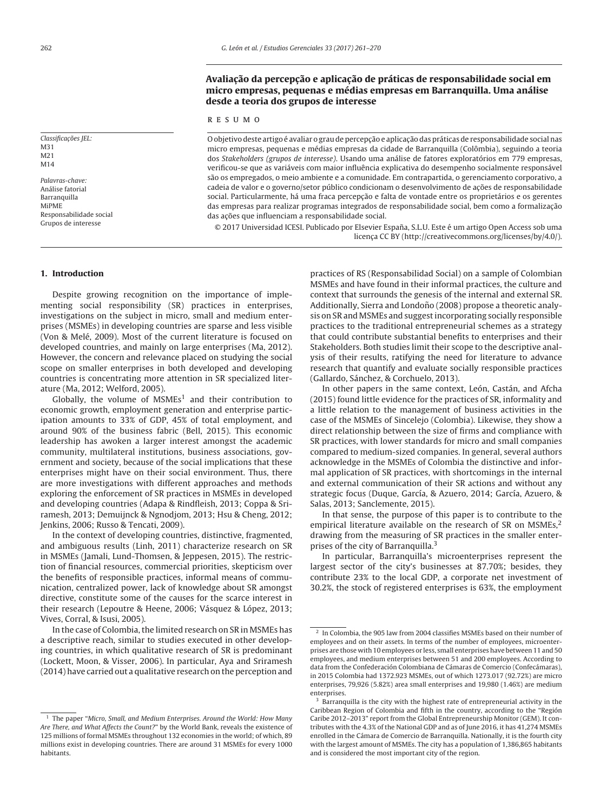# Avaliação da percepção e aplicação de práticas de responsabilidade social em **micro empresas, pequenas e médias empresas em Barranquilla. Uma análise desde a teoria dos grupos de interesse**

#### resumo

O objetivo deste artigo é avaliar o grau de percepção e aplicação das práticas de responsabilidade social nas micro empresas, pequenas e médias empresas da cidade de Barranquilla (Colômbia), seguindo a teoria dos Stakeholders (grupos de interesse). Usando uma análise de fatores exploratórios em 779 empresas, verificou-se que as variáveis com maior influência explicativa do desempenho socialmente responsável são os empregados, o meio ambiente e a comunidade. Em contrapartida, o gerenciamento corporativo, a cadeia de valor e o governo/setor público condicionam o desenvolvimento de ações de responsabilidade social. Particularmente, há uma fraca percepção e falta de vontade entre os proprietários e os gerentes das empresas para realizar programas integrados de responsabilidade social, bem como a formalização das ações que influenciam a responsabilidade social.

© 2017 Universidad ICESI. Publicado por Elsevier España, S.L.U. Este é um artigo Open Access sob uma licença CC BY (http://creativecommons.org/licenses/by/4.0/).

Despite growing recognition on the importance of implementing social responsibility (SR) practices in enterprises, investigations on the subject in micro, small and medium enterprises (MSMEs) in developing countries are sparse and less visible (Von & Melé, 2009). Most of the current literature is focused on developed countries, and mainly on large enterprises (Ma, 2012). However, the concern and relevance placed on studying the social scope on smaller enterprises in both developed and developing countries is concentrating more attention in SR specialized literature (Ma, 2012; Welford, 2005).

Globally, the volume of  $MSMEs<sup>1</sup>$  and their contribution to economic growth, employment generation and enterprise participation amounts to 33% of GDP, 45% of total employment, and around 90% of the business fabric (Bell, 2015). This economic leadership has awoken a larger interest amongst the academic community, multilateral institutions, business associations, government and society, because of the social implications that these enterprises might have on their social environment. Thus, there are more investigations with different approaches and methods exploring the enforcement of SR practices in MSMEs in developed and developing countries (Adapa & Rindfleish, 2013; Coppa & Sriramesh, 2013; Demuijnck & Ngnodjom, 2013; Hsu & Cheng, 2012; Jenkins, 2006; Russo & Tencati, 2009).

In the context of developing countries, distinctive, fragmented, and ambiguous results (Linh, 2011) characterize research on SR in MSMEs (Jamali, Lund-Thomsen, & Jeppesen, 2015). The restriction of financial resources, commercial priorities, skepticism over the benefits of responsible practices, informal means of communication, centralized power, lack of knowledge about SR amongst directive, constitute some of the causes for the scarce interest in their research (Lepoutre & Heene, 2006; Vásquez & López, 2013; Vives, Corral, & Isusi, 2005).

In the case of Colombia, the limited research on SR in MSMEs has a descriptive reach, similar to studies executed in other developing countries, in which qualitative research of SR is predominant (Lockett, Moon, & Visser, 2006). In particular, Aya and Sriramesh (2014) have carried out a qualitative research on the perception and

practices of RS (Responsabilidad Social) on a sample of Colombian MSMEs and have found in their informal practices, the culture and context that surrounds the genesis of the internal and external SR. Additionally, Sierra and Londoño (2008) propose a theoretic analysis on SR and MSMEs and suggest incorporating socially responsible practices to the traditional entrepreneurial schemes as a strategy that could contribute substantial benefits to enterprises and their Stakeholders. Both studies limit their scope to the descriptive analysis of their results, ratifying the need for literature to advance research that quantify and evaluate socially responsible practices (Gallardo, Sánchez, & Corchuelo, 2013).

In other papers in the same context, León, Castán, and Afcha (2015) found little evidence for the practices of SR, informality and a little relation to the management of business activities in the case of the MSMEs of Sincelejo (Colombia). Likewise, they show a direct relationship between the size of firms and compliance with SR practices, with lower standards for micro and small companies compared to medium-sized companies. In general, several authors acknowledge in the MSMEs of Colombia the distinctive and informal application of SR practices, with shortcomings in the internal and external communication of their SR actions and without any strategic focus (Duque, García, & Azuero, 2014; García, Azuero, & Salas, 2013; Sanclemente, 2015).

In that sense, the purpose of this paper is to contribute to the empirical literature available on the research of SR on MSMEs,<sup>2</sup> drawing from the measuring of SR practices in the smaller enterprises of the city of Barranquilla.<sup>3</sup>

In particular, Barranquilla's microenterprises represent the largest sector of the city's businesses at 87.70%; besides, they contribute 23% to the local GDP, a corporate net investment of 30.2%, the stock of registered enterprises is 63%, the employment

Classificações JEL: M31 M21 M14 Palavras-chave:

Análise fatorial Barranquilla MiPME Responsabilidade social Grupos de interesse

#### **1. Introduction**

 $1$  The paper "Micro, Small, and Medium Enterprises, Around the World: How Many Are There, and What Affects the Count?" by the World Bank, reveals the existence of 125 millions of formal MSMEs throughout 132 economies in the world; of which, 89 millions exist in developing countries. There are around 31 MSMEs for every 1000 habitants.

<sup>2</sup> In Colombia, the 905 law from 2004 classifies MSMEs based on their number of employees and on their assets. In terms of the number of employees, microenterprises are those with 10 employees or less, small enterprises have between 11 and 50 employees, and medium enterprises between 51 and 200 employees. According to data from the Confederación Colombiana de Cámaras de Comercio (Confecámaras), in 2015 Colombia had 1372.923 MSMEs, out of which 1273.017 (92.72%) are micro enterprises, 79,926 (5.82%) area small enterprises and 19,980 (1.46%) are medium enterprises.

<sup>&</sup>lt;sup>3</sup> Barranquilla is the city with the highest rate of entrepreneurial activity in the Caribbean Region of Colombia and fifth in the country, according to the "Región Caribe 2012–2013" report from the Global Entrepreneurship Monitor (GEM). It contributes with the 4.3% of the National GDP and as of June 2016, it has 41,274 MSMEs enrolled in the Cámara de Comercio de Barranquilla. Nationally, it is the fourth city with the largest amount of MSMEs. The city has a population of 1,386,865 habitants and is considered the most important city of the region.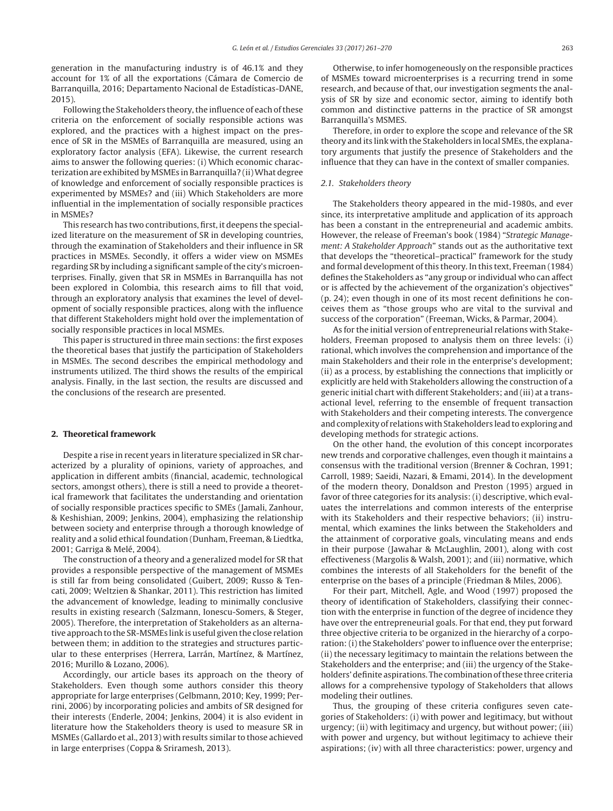generation in the manufacturing industry is of 46.1% and they account for 1% of all the exportations (Cámara de Comercio de Barranquilla, 2016; Departamento Nacional de Estadísticas-DANE, 2015).

Following the Stakeholders theory, the influence of each of these criteria on the enforcement of socially responsible actions was explored, and the practices with a highest impact on the presence of SR in the MSMEs of Barranquilla are measured, using an exploratory factor analysis (EFA). Likewise, the current research aims to answer the following queries: (i) Which economic characterization are exhibited by MSMEs in Barranquilla? (ii)What degree of knowledge and enforcement of socially responsible practices is experimented by MSMEs? and (iii) Which Stakeholders are more influential in the implementation of socially responsible practices in MSMEs?

This research has two contributions, first, it deepens the specialized literature on the measurement of SR in developing countries, through the examination of Stakeholders and their influence in SR practices in MSMEs. Secondly, it offers a wider view on MSMEs regarding SR by including a significant sample of the city's microenterprises. Finally, given that SR in MSMEs in Barranquilla has not been explored in Colombia, this research aims to fill that void, through an exploratory analysis that examines the level of development of socially responsible practices, along with the influence that different Stakeholders might hold over the implementation of socially responsible practices in local MSMEs.

This paper is structured in three main sections: the first exposes the theoretical bases that justify the participation of Stakeholders in MSMEs. The second describes the empirical methodology and instruments utilized. The third shows the results of the empirical analysis. Finally, in the last section, the results are discussed and the conclusions of the research are presented.

#### **2. Theoretical framework**

Despite a rise in recent years in literature specialized in SR characterized by a plurality of opinions, variety of approaches, and application in different ambits (financial, academic, technological sectors, amongst others), there is still a need to provide a theoretical framework that facilitates the understanding and orientation of socially responsible practices specific to SMEs (Jamali, Zanhour, & Keshishian, 2009; Jenkins, 2004), emphasizing the relationship between society and enterprise through a thorough knowledge of reality and a solid ethical foundation (Dunham, Freeman, & Liedtka, 2001; Garriga & Melé, 2004).

The construction of a theory and a generalized model for SR that provides a responsible perspective of the management of MSMEs is still far from being consolidated (Guibert, 2009; Russo & Tencati, 2009; Weltzien & Shankar, 2011). This restriction has limited the advancement of knowledge, leading to minimally conclusive results in existing research (Salzmann, Ionescu-Somers, & Steger, 2005). Therefore, the interpretation of Stakeholders as an alternative approach to the SR-MSMEs link is useful given the close relation between them; in addition to the strategies and structures particular to these enterprises (Herrera, Larrán, Martínez, & Martínez, 2016; Murillo & Lozano, 2006).

Accordingly, our article bases its approach on the theory of Stakeholders. Even though some authors consider this theory appropriate for large enterprises (Gelbmann, 2010; Key, 1999; Perrini, 2006) by incorporating policies and ambits of SR designed for their interests (Enderle, 2004; Jenkins, 2004) it is also evident in literature how the Stakeholders theory is used to measure SR in MSMEs (Gallardo et al., 2013) with results similar to those achieved in large enterprises (Coppa & Sriramesh, 2013).

Otherwise, to infer homogeneously on the responsible practices of MSMEs toward microenterprises is a recurring trend in some research, and because of that, our investigation segments the analysis of SR by size and economic sector, aiming to identify both common and distinctive patterns in the practice of SR amongst Barranquilla's MSMES.

Therefore, in order to explore the scope and relevance of the SR theory and its link with the Stakeholders in local SMEs, the explanatory arguments that justify the presence of Stakeholders and the influence that they can have in the context of smaller companies.

## 2.1. Stakeholders theory

The Stakeholders theory appeared in the mid-1980s, and ever since, its interpretative amplitude and application of its approach has been a constant in the entrepreneurial and academic ambits. However, the release of Freeman's book (1984) "Strategic Management: A Stakeholder Approach" stands out as the authoritative text that develops the "theoretical–practical" framework for the study and formal development of this theory. In this text, Freeman (1984) defines the Stakeholders as "any group or individual who can affect or is affected by the achievement of the organization's objectives" (p. 24); even though in one of its most recent definitions he conceives them as "those groups who are vital to the survival and success of the corporation" (Freeman, Wicks, & Parmar, 2004).

As for the initial version of entrepreneurial relations with Stakeholders, Freeman proposed to analysis them on three levels: (i) rational, which involves the comprehension and importance of the main Stakeholders and their role in the enterprise's development; (ii) as a process, by establishing the connections that implicitly or explicitly are held with Stakeholders allowing the construction of a generic initial chart with different Stakeholders; and (iii) at a transactional level, referring to the ensemble of frequent transaction with Stakeholders and their competing interests. The convergence and complexity of relations with Stakeholders lead to exploring and developing methods for strategic actions.

On the other hand, the evolution of this concept incorporates new trends and corporative challenges, even though it maintains a consensus with the traditional version (Brenner & Cochran, 1991; Carroll, 1989; Saeidi, Nazari, & Emami, 2014). In the development of the modern theory, Donaldson and Preston (1995) argued in favor of three categories for its analysis: (i) descriptive, which evaluates the interrelations and common interests of the enterprise with its Stakeholders and their respective behaviors; (ii) instrumental, which examines the links between the Stakeholders and the attainment of corporative goals, vinculating means and ends in their purpose (Jawahar & McLaughlin, 2001), along with cost effectiveness (Margolis & Walsh, 2001); and (iii) normative, which combines the interests of all Stakeholders for the benefit of the enterprise on the bases of a principle (Friedman & Miles, 2006).

For their part, Mitchell, Agle, and Wood (1997) proposed the theory of identification of Stakeholders, classifying their connection with the enterprise in function of the degree of incidence they have over the entrepreneurial goals. For that end, they put forward three objective criteria to be organized in the hierarchy of a corporation: (i) the Stakeholders' power to influence over the enterprise; (ii) the necessary legitimacy to maintain the relations between the Stakeholders and the enterprise; and (iii) the urgency of the Stakeholders' definite aspirations. The combination of these three criteria allows for a comprehensive typology of Stakeholders that allows modeling their outlines.

Thus, the grouping of these criteria configures seven categories of Stakeholders: (i) with power and legitimacy, but without urgency; (ii) with legitimacy and urgency, but without power; (iii) with power and urgency, but without legitimacy to achieve their aspirations; (iv) with all three characteristics: power, urgency and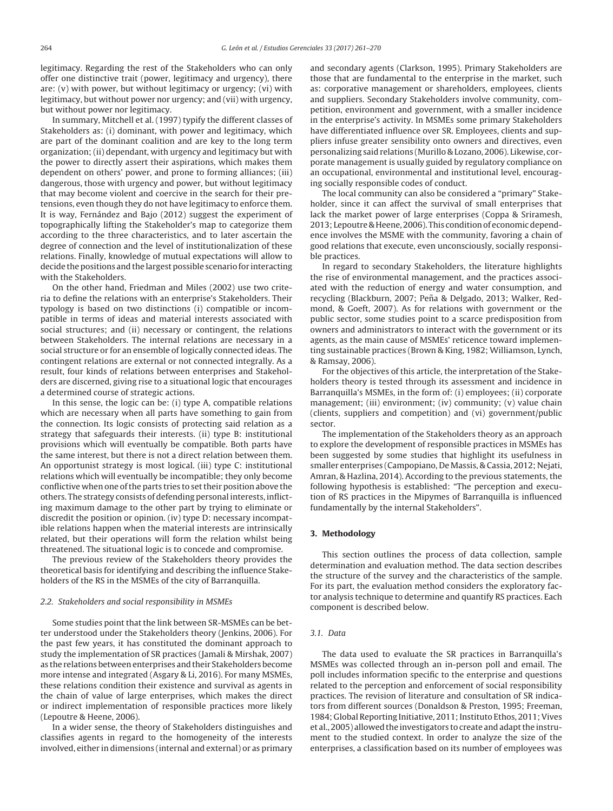legitimacy. Regarding the rest of the Stakeholders who can only offer one distinctive trait (power, legitimacy and urgency), there are: (v) with power, but without legitimacy or urgency; (vi) with legitimacy, but without power nor urgency; and (vii) with urgency, but without power nor legitimacy.

In summary, Mitchell et al. (1997) typify the different classes of Stakeholders as: (i) dominant, with power and legitimacy, which are part of the dominant coalition and are key to the long term organization; (ii) dependant, with urgency and legitimacy but with the power to directly assert their aspirations, which makes them dependent on others' power, and prone to forming alliances; (iii) dangerous, those with urgency and power, but without legitimacy that may become violent and coercive in the search for their pretensions, even though they do not have legitimacy to enforce them. It is way, Fernández and Bajo (2012) suggest the experiment of topographically lifting the Stakeholder's map to categorize them according to the three characteristics, and to later ascertain the degree of connection and the level of institutionalization of these relations. Finally, knowledge of mutual expectations will allow to decide the positions and the largest possible scenario for interacting with the Stakeholders.

On the other hand, Friedman and Miles (2002) use two criteria to define the relations with an enterprise's Stakeholders. Their typology is based on two distinctions (i) compatible or incompatible in terms of ideas and material interests associated with social structures; and (ii) necessary or contingent, the relations between Stakeholders. The internal relations are necessary in a social structure or for an ensemble of logically connected ideas. The contingent relations are external or not connected integrally. As a result, four kinds of relations between enterprises and Stakeholders are discerned, giving rise to a situational logic that encourages a determined course of strategic actions.

In this sense, the logic can be: (i) type A, compatible relations which are necessary when all parts have something to gain from the connection. Its logic consists of protecting said relation as a strategy that safeguards their interests. (ii) type B: institutional provisions which will eventually be compatible. Both parts have the same interest, but there is not a direct relation between them. An opportunist strategy is most logical. (iii) type C: institutional relations which will eventually be incompatible; they only become conflictive when one of the parts tries to set their position above the others. The strategy consists of defending personal interests, inflicting maximum damage to the other part by trying to eliminate or discredit the position or opinion. (iv) type D: necessary incompatible relations happen when the material interests are intrinsically related, but their operations will form the relation whilst being threatened. The situational logic is to concede and compromise.

The previous review of the Stakeholders theory provides the theoretical basis for identifying and describing the influence Stakeholders of the RS in the MSMEs of the city of Barranquilla.

#### 2.2. Stakeholders and social responsibility in MSMEs

Some studies point that the link between SR-MSMEs can be better understood under the Stakeholders theory (Jenkins, 2006). For the past few years, it has constituted the dominant approach to study the implementation of SR practices (Jamali & Mirshak, 2007) as the relations between enterprises and their Stakeholders become more intense and integrated (Asgary & Li, 2016). For many MSMEs, these relations condition their existence and survival as agents in the chain of value of large enterprises, which makes the direct or indirect implementation of responsible practices more likely (Lepoutre & Heene, 2006).

In a wider sense, the theory of Stakeholders distinguishes and classifies agents in regard to the homogeneity of the interests involved, either in dimensions (internal and external) or as primary and secondary agents (Clarkson, 1995). Primary Stakeholders are those that are fundamental to the enterprise in the market, such as: corporative management or shareholders, employees, clients and suppliers. Secondary Stakeholders involve community, competition, environment and government, with a smaller incidence in the enterprise's activity. In MSMEs some primary Stakeholders have differentiated influence over SR. Employees, clients and suppliers infuse greater sensibility onto owners and directives, even personalizing said relations (Murillo & Lozano, 2006). Likewise, corporate management is usually guided by regulatory compliance on an occupational, environmental and institutional level, encouraging socially responsible codes of conduct.

The local community can also be considered a "primary" Stakeholder, since it can affect the survival of small enterprises that lack the market power of large enterprises (Coppa & Sriramesh, 2013; Lepoutre & Heene, 2006). This condition of economic dependence involves the MSME with the community, favoring a chain of good relations that execute, even unconsciously, socially responsible practices.

In regard to secondary Stakeholders, the literature highlights the rise of environmental management, and the practices associated with the reduction of energy and water consumption, and recycling (Blackburn, 2007; Peña & Delgado, 2013; Walker, Redmond, & Goeft, 2007). As for relations with government or the public sector, some studies point to a scarce predisposition from owners and administrators to interact with the government or its agents, as the main cause of MSMEs' reticence toward implementing sustainable practices (Brown & King, 1982; Williamson, Lynch, & Ramsay, 2006).

For the objectives of this article, the interpretation of the Stakeholders theory is tested through its assessment and incidence in Barranquilla's MSMEs, in the form of: (i) employees; (ii) corporate management; (iii) environment; (iv) community; (v) value chain (clients, suppliers and competition) and (vi) government/public sector.

The implementation of the Stakeholders theory as an approach to explore the development of responsible practices in MSMEs has been suggested by some studies that highlight its usefulness in smaller enterprises (Campopiano, De Massis, & Cassia, 2012; Nejati, Amran, & Hazlina, 2014). According to the previous statements, the following hypothesis is established: "The perception and execution of RS practices in the Mipymes of Barranquilla is influenced fundamentally by the internal Stakeholders".

#### **3. Methodology**

This section outlines the process of data collection, sample determination and evaluation method. The data section describes the structure of the survey and the characteristics of the sample. For its part, the evaluation method considers the exploratory factor analysis technique to determine and quantify RS practices. Each component is described below.

#### 3.1. Data

The data used to evaluate the SR practices in Barranquilla's MSMEs was collected through an in-person poll and email. The poll includes information specific to the enterprise and questions related to the perception and enforcement of social responsibility practices. The revision of literature and consultation of SR indicators from different sources (Donaldson & Preston, 1995; Freeman, 1984; Global Reporting Initiative, 2011; Instituto Ethos, 2011; Vives et al., 2005) allowed the investigators to create and adapt the instrument to the studied context. In order to analyze the size of the enterprises, a classification based on its number of employees was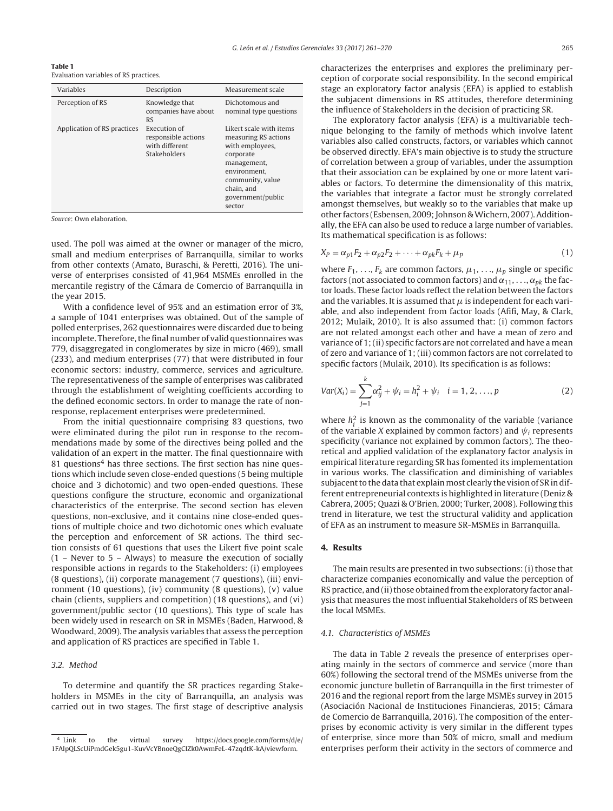Evaluation variables of RS practices.

**Table 1**

| Variables                   | Description                                                                  | Measurement scale                                                                                                                                                               |
|-----------------------------|------------------------------------------------------------------------------|---------------------------------------------------------------------------------------------------------------------------------------------------------------------------------|
| Perception of RS            | Knowledge that<br>companies have about<br><b>RS</b>                          | Dichotomous and<br>nominal type questions                                                                                                                                       |
| Application of RS practices | Execution of<br>responsible actions<br>with different<br><b>Stakeholders</b> | Likert scale with items<br>measuring RS actions<br>with employees,<br>corporate<br>management,<br>environment.<br>community, value<br>chain, and<br>government/public<br>sector |

Source: Own elaboration.

used. The poll was aimed at the owner or manager of the micro, small and medium enterprises of Barranquilla, similar to works from other contexts (Amato, Buraschi, & Peretti, 2016). The universe of enterprises consisted of 41,964 MSMEs enrolled in the mercantile registry of the Cámara de Comercio of Barranquilla in the year 2015.

With a confidence level of 95% and an estimation error of 3%, a sample of 1041 enterprises was obtained. Out of the sample of polled enterprises, 262 questionnaires were discarded due to being incomplete. Therefore, the final number of valid questionnaires was 779, disaggregated in conglomerates by size in micro (469), small (233), and medium enterprises (77) that were distributed in four economic sectors: industry, commerce, services and agriculture. The representativeness of the sample of enterprises was calibrated through the establishment of weighting coefficients according to the defined economic sectors. In order to manage the rate of nonresponse, replacement enterprises were predetermined.

From the initial questionnaire comprising 83 questions, two were eliminated during the pilot run in response to the recommendations made by some of the directives being polled and the validation of an expert in the matter. The final questionnaire with 81 questions<sup>4</sup> has three sections. The first section has nine questions which include seven close-ended questions (5 being multiple choice and 3 dichotomic) and two open-ended questions. These questions configure the structure, economic and organizational characteristics of the enterprise. The second section has eleven questions, non-exclusive, and it contains nine close-ended questions of multiple choice and two dichotomic ones which evaluate the perception and enforcement of SR actions. The third section consists of 61 questions that uses the Likert five point scale (1 – Never to 5 – Always) to measure the execution of socially responsible actions in regards to the Stakeholders: (i) employees (8 questions), (ii) corporate management (7 questions), (iii) environment (10 questions), (iv) community (8 questions), (v) value chain (clients, suppliers and competition) (18 questions), and (vi) government/public sector (10 questions). This type of scale has been widely used in research on SR in MSMEs (Baden, Harwood, & Woodward, 2009). The analysis variables that assess the perception and application of RS practices are specified in Table 1.

## 3.2. Method

To determine and quantify the SR practices regarding Stakeholders in MSMEs in the city of Barranquilla, an analysis was carried out in two stages. The first stage of descriptive analysis characterizes the enterprises and explores the preliminary perception of corporate social responsibility. In the second empirical stage an exploratory factor analysis (EFA) is applied to establish the subjacent dimensions in RS attitudes, therefore determining the influence of Stakeholders in the decision of practicing SR.

The exploratory factor analysis (EFA) is a multivariable technique belonging to the family of methods which involve latent variables also called constructs, factors, or variables which cannot be observed directly. EFA's main objective is to study the structure of correlation between a group of variables, under the assumption that their association can be explained by one or more latent variables or factors. To determine the dimensionality of this matrix, the variables that integrate a factor must be strongly correlated amongst themselves, but weakly so to the variables that make up other factors (Esbensen, 2009; Johnson & Wichern, 2007). Additionally, the EFA can also be used to reduce a large number of variables. Its mathematical specification is as follows:

$$
X_P = \alpha_{p1}F_2 + \alpha_{p2}F_2 + \dots + \alpha_{pk}F_k + \mu_p \tag{1}
$$

where  $F_1, \ldots, F_k$  are common factors,  $\mu_1, \ldots, \mu_p$  single or specific factors (not associated to common factors) and  $\alpha_{11}, \ldots, \alpha_{pk}$  the factor loads. These factor loads reflect the relation between the factors and the variables. It is assumed that  $\mu$  is independent for each variable, and also independent from factor loads (Afifi, May, & Clark, 2012; Mulaik, 2010). It is also assumed that: (i) common factors are not related amongst each other and have a mean of zero and variance of 1; (ii) specific factors are not correlated and have a mean of zero and variance of 1; (iii) common factors are not correlated to specific factors (Mulaik, 2010). Its specification is as follows:

$$
Var(X_i) = \sum_{j=1}^{k} \alpha_{ij}^2 + \psi_i = h_i^2 + \psi_i \quad i = 1, 2, ..., p
$$
 (2)

where  $h_i^2$  is known as the commonality of the variable (variance of the variable X explained by common factors) and  $\psi_i$  represents specificity (variance not explained by common factors). The theoretical and applied validation of the explanatory factor analysis in empirical literature regarding SR has fomented its implementation in various works. The classification and diminishing of variables subjacent to the data that explain most clearly the vision of SR in different entrepreneurial contexts is highlighted in literature (Deniz & Cabrera, 2005; Quazi & O'Brien, 2000; Turker, 2008). Following this trend in literature, we test the structural validity and application of EFA as an instrument to measure SR-MSMEs in Barranquilla.

#### **4. Results**

The main results are presented in two subsections: (i) those that characterize companies economically and value the perception of RS practice, and (ii) those obtained from the exploratory factor analysis that measures the most influential Stakeholders of RS between the local MSMEs.

### 4.1. Characteristics of MSMEs

The data in Table 2 reveals the presence of enterprises operating mainly in the sectors of commerce and service (more than 60%) following the sectoral trend of the MSMEs universe from the economic juncture bulletin of Barranquilla in the first trimester of 2016 and the regional report from the large MSMEs survey in 2015 (Asociación Nacional de Instituciones Financieras, 2015; Cámara de Comercio de Barranquilla, 2016). The composition of the enterprises by economic activity is very similar in the different types of enterprise, since more than 50% of micro, small and medium enterprises perform their activity in the sectors of commerce and

 $\frac{4}{4}$  Link to the virtual survey https://docs.google.com/forms/d/e/ 1FAIpQLScUiPmdGek5gu1-KuvVcYBnoeQgCIZk0AwmFeL-47zqdtK-kA/viewform.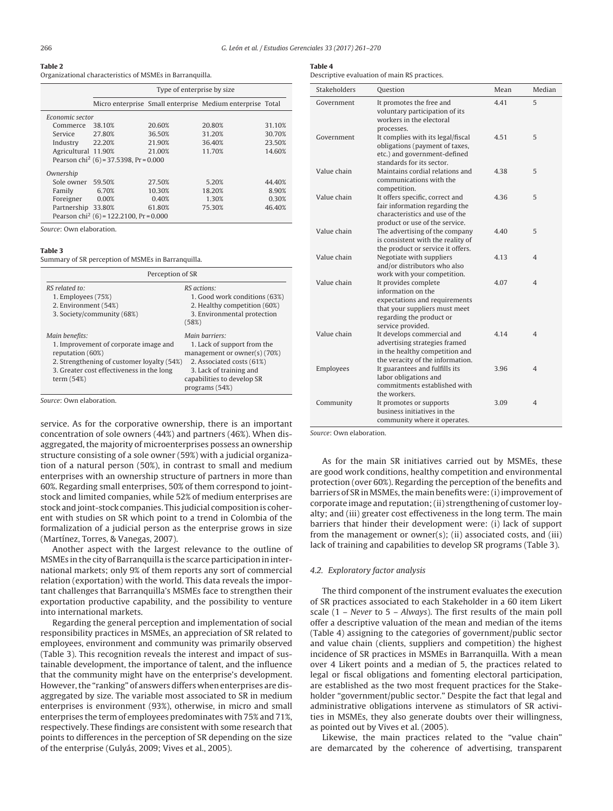#### **Table 2**

Organizational characteristics of MSMEs in Barranquilla.

|                     | Type of enterprise by size                          |        |                                                           |        |
|---------------------|-----------------------------------------------------|--------|-----------------------------------------------------------|--------|
|                     |                                                     |        | Micro enterprise Small enterprise Medium enterprise Total |        |
| Economic sector     |                                                     |        |                                                           |        |
| Commerce            | 38.10%                                              | 20.60% | 20.80%                                                    | 31.10% |
| Service             | 27.80%                                              | 36.50% | 31.20%                                                    | 30.70% |
| Industry            | 22.20%                                              | 21.90% | 36.40%                                                    | 23.50% |
| Agricultural 11.90% |                                                     | 21.00% | 11.70%                                                    | 14.60% |
|                     | Pearson chi <sup>2</sup> (6) = 37.5398, Pr = 0.000  |        |                                                           |        |
| Ownership           |                                                     |        |                                                           |        |
| Sole owner          | 59.50%                                              | 27.50% | 5.20%                                                     | 44.40% |
| Family              | 6.70%                                               | 10.30% | 18.20%                                                    | 8.90%  |
| Foreigner           | 0.00%                                               | 0.40%  | 1.30%                                                     | 0.30%  |
| Partnership 33.80%  |                                                     | 61.80% | 75.30%                                                    | 46.40% |
|                     | Pearson chi <sup>2</sup> (6) = 122,2100, Pr = 0,000 |        |                                                           |        |

Source: Own elaboration.

#### **Table 3**

Summary of SR perception of MSMEs in Barranquilla.

| Perception of SR                                                                                                                                                                       |                                                                                                                                                                                         |  |  |
|----------------------------------------------------------------------------------------------------------------------------------------------------------------------------------------|-----------------------------------------------------------------------------------------------------------------------------------------------------------------------------------------|--|--|
| $RS$ related to:<br>1. Employees (75%)<br>2. Environment (54%)<br>3. Society/community (68%)                                                                                           | RS actions:<br>1. Good work conditions (63%)<br>2. Healthy competition (60%)<br>3. Environmental protection<br>(58%)                                                                    |  |  |
| Main benefits:<br>1. Improvement of corporate image and<br>reputation (60%)<br>2. Strengthening of customer loyalty (54%)<br>3. Greater cost effectiveness in the long<br>term $(54%)$ | Main barriers:<br>1. Lack of support from the<br>management or owner(s) $(70%)$<br>2. Associated costs (61%)<br>3. Lack of training and<br>capabilities to develop SR<br>programs (54%) |  |  |

Source: Own elaboration.

service. As for the corporative ownership, there is an important concentration of sole owners (44%) and partners (46%). When disaggregated, the majority of microenterprises possess an ownership structure consisting of a sole owner (59%) with a judicial organization of a natural person (50%), in contrast to small and medium enterprises with an ownership structure of partners in more than 60%. Regarding small enterprises, 50% of them correspond to jointstock and limited companies, while 52% of medium enterprises are stock and joint-stock companies. This judicial composition is coherent with studies on SR which point to a trend in Colombia of the formalization of a judicial person as the enterprise grows in size (Martínez, Torres, & Vanegas, 2007).

Another aspect with the largest relevance to the outline of MSMEs in the city of Barranquilla is the scarce participation in international markets; only 9% of them reports any sort of commercial relation (exportation) with the world. This data reveals the important challenges that Barranquilla's MSMEs face to strengthen their exportation productive capability, and the possibility to venture into international markets.

Regarding the general perception and implementation of social responsibility practices in MSMEs, an appreciation of SR related to employees, environment and community was primarily observed (Table 3). This recognition reveals the interest and impact of sustainable development, the importance of talent, and the influence that the community might have on the enterprise's development. However, the "ranking" of answers differs when enterprises are disaggregated by size. The variable most associated to SR in medium enterprises is environment (93%), otherwise, in micro and small enterprises the term of employees predominates with 75% and 71%, respectively. These findings are consistent with some research that points to differences in the perception of SR depending on the size of the enterprise (Gulyás, 2009; Vives et al., 2005).

## **Table 4**

Descriptive evaluation of main RS practices.

| <b>Stakeholders</b> | Question                                                                                                                                                      | Mean | Median                   |
|---------------------|---------------------------------------------------------------------------------------------------------------------------------------------------------------|------|--------------------------|
| Government          | It promotes the free and<br>voluntary participation of its<br>workers in the electoral<br>processes.                                                          | 4.41 | 5                        |
| Government          | It complies with its legal/fiscal<br>obligations (payment of taxes,<br>etc.) and government-defined<br>standards for its sector.                              | 4.51 | 5                        |
| Value chain         | Maintains cordial relations and<br>communications with the<br>competition.                                                                                    | 4.38 | 5                        |
| Value chain         | It offers specific, correct and<br>fair information regarding the<br>characteristics and use of the<br>product or use of the service.                         | 4.36 | 5                        |
| Value chain         | The advertising of the company<br>is consistent with the reality of<br>the product or service it offers.                                                      | 4.40 | 5                        |
| Value chain         | Negotiate with suppliers<br>and/or distributors who also<br>work with your competition.                                                                       | 4.13 | $\overline{4}$           |
| Value chain         | It provides complete<br>information on the<br>expectations and requirements<br>that your suppliers must meet<br>regarding the product or<br>service provided. | 4.07 | $\overline{\mathcal{A}}$ |
| Value chain         | It develops commercial and<br>advertising strategies framed<br>in the healthy competition and<br>the veracity of the information.                             | 4.14 | $\overline{4}$           |
| Employees           | It guarantees and fulfills its<br>labor obligations and<br>commitments established with<br>the workers.                                                       | 3.96 | $\overline{\mathcal{A}}$ |
| Community           | It promotes or supports<br>business initiatives in the<br>community where it operates.                                                                        | 3.09 | $\overline{4}$           |

Source: Own elaboration.

As for the main SR initiatives carried out by MSMEs, these are good work conditions, healthy competition and environmental protection (over 60%). Regarding the perception of the benefits and barriers of SR in MSMEs, the main benefits were: (i) improvement of corporate image and reputation; (ii) strengthening of customer loyalty; and (iii) greater cost effectiveness in the long term. The main barriers that hinder their development were: (i) lack of support from the management or owner(s); (ii) associated costs, and (iii) lack of training and capabilities to develop SR programs (Table 3).

#### 4.2. Exploratory factor analysis

The third component of the instrument evaluates the execution of SR practices associated to each Stakeholder in a 60 item Likert scale (1 – Never to 5 – Always). The first results of the main poll offer a descriptive valuation of the mean and median of the items (Table 4) assigning to the categories of government/public sector and value chain (clients, suppliers and competition) the highest incidence of SR practices in MSMEs in Barranquilla. With a mean over 4 Likert points and a median of 5, the practices related to legal or fiscal obligations and fomenting electoral participation, are established as the two most frequent practices for the Stakeholder "government/public sector." Despite the fact that legal and administrative obligations intervene as stimulators of SR activities in MSMEs, they also generate doubts over their willingness, as pointed out by Vives et al. (2005).

Likewise, the main practices related to the "value chain" are demarcated by the coherence of advertising, transparent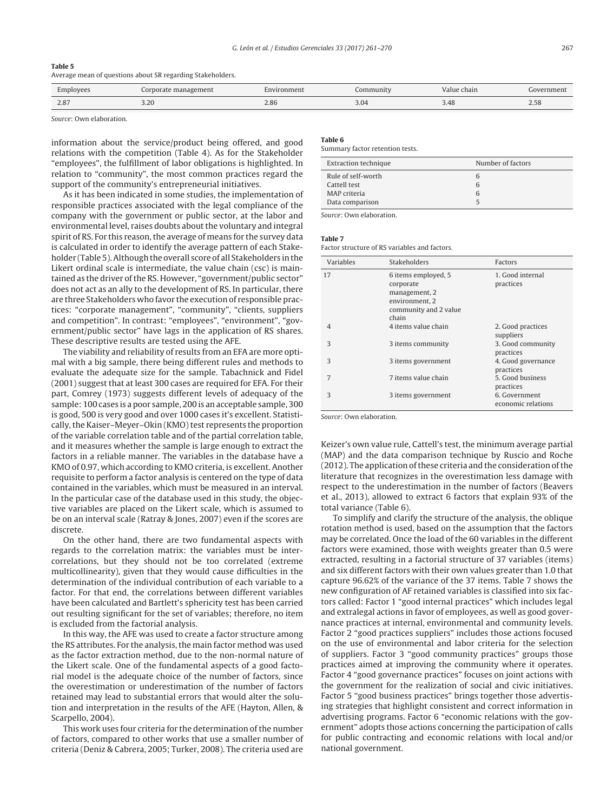## **Table 5** Average mean of questions about SR regarding Stakeholders.

| Employees  | Corporate management | Environment | community | Value chain | Government |
|------------|----------------------|-------------|-----------|-------------|------------|
| 200<br>2.8 | 2.20<br>3.ZU         | 2.86        | 3.04      | 3.48        | 2.50       |

Source: Own elaboration.

information about the service/product being offered, and good relations with the competition (Table 4). As for the Stakeholder "employees", the fulfillment of labor obligations is highlighted. In relation to "community", the most common practices regard the support of the community's entrepreneurial initiatives.

As it has been indicated in some studies, the implementation of responsible practices associated with the legal compliance of the company with the government or public sector, at the labor and environmental level, raises doubts about the voluntary and integral spirit of RS. For this reason, the average of means for the survey data is calculated in order to identify the average pattern of each Stakeholder (Table 5). Although the overall score of all Stakeholders in the Likert ordinal scale is intermediate, the value chain (csc) is maintained as the driver of the RS. However, "government/public sector" does not act as an ally to the development of RS. In particular, there are three Stakeholders who favor the execution of responsible practices: "corporate management", "community", "clients, suppliers and competition". In contrast: "employees", "environment", "government/public sector" have lags in the application of RS shares. These descriptive results are tested using the AFE.

The viability and reliability of results from an EFA are more optimal with a big sample, there being different rules and methods to evaluate the adequate size for the sample. Tabachnick and Fidel (2001) suggest that at least 300 cases are required for EFA. For their part, Comrey (1973) suggests different levels of adequacy of the sample: 100 cases is a poor sample, 200 is an acceptable sample, 300 is good, 500 is very good and over 1000 cases it's excellent. Statistically, the Kaiser–Meyer–Okin (KMO) test represents the proportion of the variable correlation table and of the partial correlation table, and it measures whether the sample is large enough to extract the factors in a reliable manner. The variables in the database have a KMO of 0.97, which according to KMO criteria, is excellent. Another requisite to perform a factor analysis is centered on the type of data contained in the variables, which must be measured in an interval. In the particular case of the database used in this study, the objective variables are placed on the Likert scale, which is assumed to be on an interval scale (Ratray & Jones, 2007) even if the scores are discrete.

On the other hand, there are two fundamental aspects with regards to the correlation matrix: the variables must be intercorrelations, but they should not be too correlated (extreme multicollinearity), given that they would cause difficulties in the determination of the individual contribution of each variable to a factor. For that end, the correlations between different variables have been calculated and Bartlett's sphericity test has been carried out resulting significant for the set of variables; therefore, no item is excluded from the factorial analysis.

In this way, the AFE was used to create a factor structure among the RS attributes. For the analysis, the main factor method was used as the factor extraction method, due to the non-normal nature of the Likert scale. One of the fundamental aspects of a good factorial model is the adequate choice of the number of factors, since the overestimation or underestimation of the number of factors retained may lead to substantial errors that would alter the solution and interpretation in the results of the AFE (Hayton, Allen, & Scarpello, 2004).

This work uses four criteria for the determination of the number of factors, compared to other works that use a smaller number of criteria (Deniz & Cabrera, 2005; Turker, 2008). The criteria used are

# **Table 6**

Summary factor retention tests.

| Extraction technique | Number of factors |
|----------------------|-------------------|
| Rule of self-worth   | 6                 |
| Cattell test         | 6                 |
| MAP criteria         | 6                 |
| Data comparison      |                   |
|                      |                   |

Source: Own elaboration.

#### **Table 7**

Factor structure of RS variables and factors.

| Variables | <b>Stakeholders</b>                                                                                   | <b>Factors</b>                      |
|-----------|-------------------------------------------------------------------------------------------------------|-------------------------------------|
| 17        | 6 items employed, 5<br>corporate<br>management, 2<br>environment, 2<br>community and 2 value<br>chain | 1. Good internal<br>practices       |
| 4         | 4 items value chain                                                                                   | 2. Good practices<br>suppliers      |
| 3         | 3 items community                                                                                     | 3. Good community<br>practices      |
| 3         | 3 items government                                                                                    | 4. Good governance<br>practices     |
| 7         | 7 items value chain                                                                                   | 5. Good business<br>practices       |
| 3         | 3 items government                                                                                    | 6. Government<br>economic relations |

Source: Own elaboration.

Keizer's own value rule, Cattell's test, the minimum average partial (MAP) and the data comparison technique by Ruscio and Roche (2012). The application of these criteria and the consideration of the literature that recognizes in the overestimation less damage with respect to the underestimation in the number of factors (Beavers et al., 2013), allowed to extract 6 factors that explain 93% of the total variance (Table 6).

To simplify and clarify the structure of the analysis, the oblique rotation method is used, based on the assumption that the factors may be correlated. Once the load of the 60 variables in the different factors were examined, those with weights greater than 0.5 were extracted, resulting in a factorial structure of 37 variables (items) and six different factors with their own values greater than 1.0 that capture 96.62% of the variance of the 37 items. Table 7 shows the new configuration of AF retained variables is classified into six factors called: Factor 1 "good internal practices" which includes legal and extralegal actions in favor of employees, as well as good governance practices at internal, environmental and community levels. Factor 2 "good practices suppliers" includes those actions focused on the use of environmental and labor criteria for the selection of suppliers. Factor 3 "good community practices" groups those practices aimed at improving the community where it operates. Factor 4 "good governance practices" focuses on joint actions with the government for the realization of social and civic initiatives. Factor 5 "good business practices" brings together those advertising strategies that highlight consistent and correct information in advertising programs. Factor 6 "economic relations with the government" adopts those actions concerning the participation of calls for public contracting and economic relations with local and/or national government.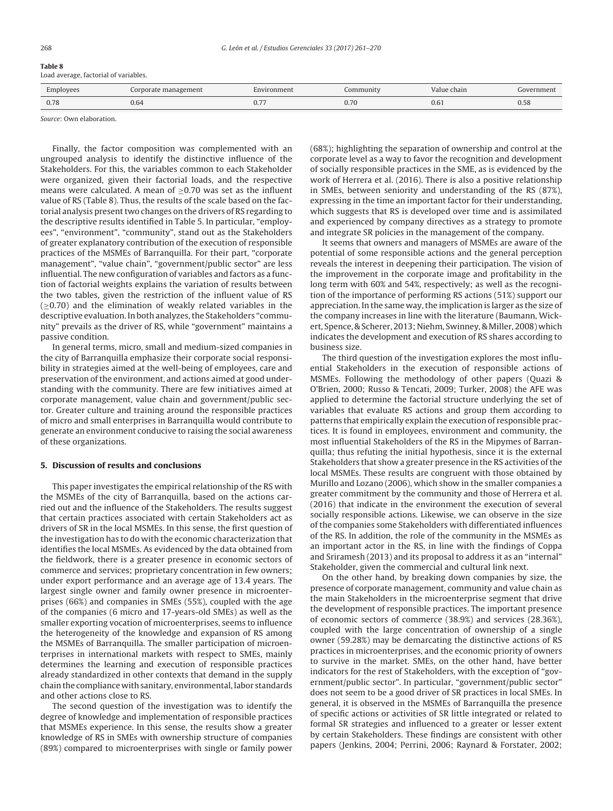| .                                     |  |
|---------------------------------------|--|
| Load average, factorial of variables. |  |

| Employees | Corporate management  | Environment | Community | Value chain | Government |
|-----------|-----------------------|-------------|-----------|-------------|------------|
| 0.78      | $\sim$ $\sim$<br>0.64 | U, I        | 0.70      | 0.6.        | U.JC       |

Source: Own elaboration.

Finally, the factor composition was complemented with an ungrouped analysis to identify the distinctive influence of the Stakeholders. For this, the variables common to each Stakeholder were organized, given their factorial loads, and the respective means were calculated. A mean of  $\geq$ 0.70 was set as the influent value of RS (Table 8). Thus, the results of the scale based on the factorial analysis present two changes on the drivers of RS regarding to the descriptive results identified in Table 5. In particular, "employees", "environment", "community", stand out as the Stakeholders of greater explanatory contribution of the execution of responsible practices of the MSMEs of Barranquilla. For their part, "corporate management", "value chain", "government/public sector" are less influential. The new configuration of variables and factors as a function of factorial weights explains the variation of results between the two tables, given the restriction of the influent value of RS  $(≥0.70)$  and the elimination of weakly related variables in the descriptive evaluation. In both analyzes, the Stakeholders "community" prevails as the driver of RS, while "government" maintains a passive condition.

In general terms, micro, small and medium-sized companies in the city of Barranquilla emphasize their corporate social responsibility in strategies aimed at the well-being of employees, care and preservation of the environment, and actions aimed at good understanding with the community. There are few initiatives aimed at corporate management, value chain and government/public sector. Greater culture and training around the responsible practices of micro and small enterprises in Barranquilla would contribute to generate an environment conducive to raising the social awareness of these organizations.

## **5. Discussion of results and conclusions**

This paper investigates the empirical relationship of the RS with the MSMEs of the city of Barranquilla, based on the actions carried out and the influence of the Stakeholders. The results suggest that certain practices associated with certain Stakeholders act as drivers of SR in the local MSMEs. In this sense, the first question of the investigation has to do with the economic characterization that identifies the local MSMEs. As evidenced by the data obtained from the fieldwork, there is a greater presence in economic sectors of commerce and services; proprietary concentration in few owners; under export performance and an average age of 13.4 years. The largest single owner and family owner presence in microenterprises (66%) and companies in SMEs (55%), coupled with the age of the companies (6 micro and 17-years-old SMEs) as well as the smaller exporting vocation of microenterprises, seems to influence the heterogeneity of the knowledge and expansion of RS among the MSMEs of Barranquilla. The smaller participation of microenterprises in international markets with respect to SMEs, mainly determines the learning and execution of responsible practices already standardized in other contexts that demand in the supply chain the compliance with sanitary, environmental, labor standards and other actions close to RS.

The second question of the investigation was to identify the degree of knowledge and implementation of responsible practices that MSMEs experience. In this sense, the results show a greater knowledge of RS in SMEs with ownership structure of companies (89%) compared to microenterprises with single or family power

(68%); highlighting the separation of ownership and control at the corporate level as a way to favor the recognition and development of socially responsible practices in the SME, as is evidenced by the work of Herrera et al. (2016). There is also a positive relationship in SMEs, between seniority and understanding of the RS (87%), expressing in the time an important factor for their understanding, which suggests that RS is developed over time and is assimilated and experienced by company directives as a strategy to promote and integrate SR policies in the management of the company.

It seems that owners and managers of MSMEs are aware of the potential of some responsible actions and the general perception reveals the interest in deepening their participation. The vision of the improvement in the corporate image and profitability in the long term with 60% and 54%, respectively; as well as the recognition of the importance of performing RS actions (51%) support our appreciation. In the same way, the implication is larger as the size of the company increases in line with the literature (Baumann, Wickert, Spence, & Scherer, 2013; Niehm, Swinney, & Miller, 2008) which indicates the development and execution of RS shares according to business size.

The third question of the investigation explores the most influential Stakeholders in the execution of responsible actions of MSMEs. Following the methodology of other papers (Quazi & O'Brien, 2000; Russo & Tencati, 2009; Turker, 2008) the AFE was applied to determine the factorial structure underlying the set of variables that evaluate RS actions and group them according to patterns that empirically explain the execution of responsible practices. It is found in employees, environment and community, the most influential Stakeholders of the RS in the Mipymes of Barranquilla; thus refuting the initial hypothesis, since it is the external Stakeholders that show a greater presence in the RS activities of the local MSMEs. These results are congruent with those obtained by Murillo and Lozano (2006), which show in the smaller companies a greater commitment by the community and those of Herrera et al. (2016) that indicate in the environment the execution of several socially responsible actions. Likewise, we can observe in the size of the companies some Stakeholders with differentiated influences of the RS. In addition, the role of the community in the MSMEs as an important actor in the RS, in line with the findings of Coppa and Sriramesh (2013) and its proposal to address it as an "internal" Stakeholder, given the commercial and cultural link next.

On the other hand, by breaking down companies by size, the presence of corporate management, community and value chain as the main Stakeholders in the microenterprise segment that drive the development of responsible practices. The important presence of economic sectors of commerce (38.9%) and services (28.36%), coupled with the large concentration of ownership of a single owner (59.28%) may be demarcating the distinctive actions of RS practices in microenterprises, and the economic priority of owners to survive in the market. SMEs, on the other hand, have better indicators for the rest of Stakeholders, with the exception of "government/public sector". In particular, "government/public sector" does not seem to be a good driver of SR practices in local SMEs. In general, it is observed in the MSMEs of Barranquilla the presence of specific actions or activities of SR little integrated or related to formal SR strategies and influenced to a greater or lesser extent by certain Stakeholders. These findings are consistent with other papers (Jenkins, 2004; Perrini, 2006; Raynard & Forstater, 2002;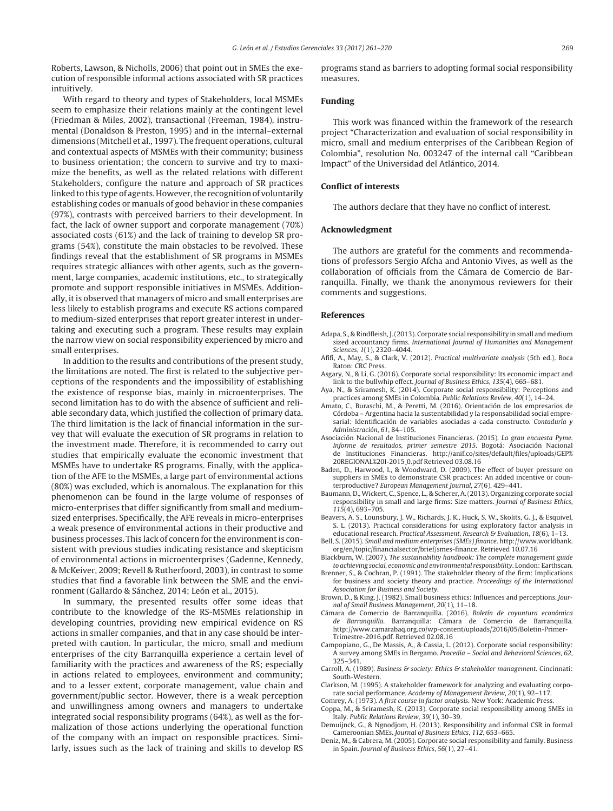Roberts, Lawson, & Nicholls, 2006) that point out in SMEs the execution of responsible informal actions associated with SR practices intuitively.

With regard to theory and types of Stakeholders, local MSMEs seem to emphasize their relations mainly at the contingent level (Friedman & Miles, 2002), transactional (Freeman, 1984), instrumental (Donaldson & Preston, 1995) and in the internal–external dimensions (Mitchell et al., 1997). The frequent operations, cultural and contextual aspects of MSMEs with their community; business to business orientation; the concern to survive and try to maximize the benefits, as well as the related relations with different Stakeholders, configure the nature and approach of SR practices linked to this type of agents. However, the recognition of voluntarily establishing codes or manuals of good behavior in these companies (97%), contrasts with perceived barriers to their development. In fact, the lack of owner support and corporate management (70%) associated costs (61%) and the lack of training to develop SR programs (54%), constitute the main obstacles to be revolved. These findings reveal that the establishment of SR programs in MSMEs requires strategic alliances with other agents, such as the government, large companies, academic institutions, etc., to strategically promote and support responsible initiatives in MSMEs. Additionally, it is observed that managers of micro and small enterprises are less likely to establish programs and execute RS actions compared to medium-sized enterprises that report greater interest in undertaking and executing such a program. These results may explain the narrow view on social responsibility experienced by micro and small enterprises.

In addition to the results and contributions of the present study, the limitations are noted. The first is related to the subjective perceptions of the respondents and the impossibility of establishing the existence of response bias, mainly in microenterprises. The second limitation has to do with the absence of sufficient and reliable secondary data, which justified the collection of primary data. The third limitation is the lack of financial information in the survey that will evaluate the execution of SR programs in relation to the investment made. Therefore, it is recommended to carry out studies that empirically evaluate the economic investment that MSMEs have to undertake RS programs. Finally, with the application of the AFE to the MSMEs, a large part of environmental actions (80%) was excluded, which is anomalous. The explanation for this phenomenon can be found in the large volume of responses of micro-enterprises that differ significantly from small and mediumsized enterprises. Specifically, the AFE reveals in micro-enterprises a weak presence of environmental actions in their productive and business processes. This lack of concern for the environment is consistent with previous studies indicating resistance and skepticism of environmental actions in microenterprises (Gadenne, Kennedy, & McKeiver, 2009; Revell & Rutherfoord, 2003), in contrast to some studies that find a favorable link between the SME and the environment (Gallardo & Sánchez, 2014; León et al., 2015).

In summary, the presented results offer some ideas that contribute to the knowledge of the RS-MSMEs relationship in developing countries, providing new empirical evidence on RS actions in smaller companies, and that in any case should be interpreted with caution. In particular, the micro, small and medium enterprises of the city Barranquilla experience a certain level of familiarity with the practices and awareness of the RS; especially in actions related to employees, environment and community; and to a lesser extent, corporate management, value chain and government/public sector. However, there is a weak perception and unwillingness among owners and managers to undertake integrated social responsibility programs (64%), as well as the formalization of those actions underlying the operational function of the company with an impact on responsible practices. Similarly, issues such as the lack of training and skills to develop RS

programs stand as barriers to adopting formal social responsibility measures.

#### **Funding**

This work was financed within the framework of the research project "Characterization and evaluation of social responsibility in micro, small and medium enterprises of the Caribbean Region of Colombia", resolution No. 003247 of the internal call "Caribbean Impact" of the Universidad del Atlántico, 2014.

#### **Conflict of interests**

The authors declare that they have no conflict of interest.

#### **Acknowledgment**

The authors are grateful for the comments and recommendations of professors Sergio Afcha and Antonio Vives, as well as the collaboration of officials from the Cámara de Comercio de Barranquilla. Finally, we thank the anonymous reviewers for their comments and suggestions.

#### **References**

- Adapa, S., & Rindfleish, J. (2013). Corporate social responsibility in small and medium sized accountancy firms. International Journal of Humanities and Management Sciences, 1(1), 2320–4044.
- Afifi, A., May, S., & Clark, V. (2012). Practical multivariate analysis (5th ed.). Boca Raton: CRC Press.
- Asgary, N., & Li, G. (2016). Corporate social responsibility: Its economic impact and link to the bullwhip effect. Journal of Business Ethics, 135(4), 665–681.
- Aya, N., & Sriramesh, K. (2014). Corporate social responsibility: Perceptions and practices among SMEs in Colombia. Public Relations Review, 40(1), 14–24.
- Amato, C., Buraschi, M., & Peretti, M. (2016). Orientación de los empresarios de Córdoba – Argentina hacia la sustentabilidad y la responsabilidad social empresarial: Identificación de variables asociadas a cada constructo. Contaduría y Administración, 61, 84–105.
- Asociación Nacional de Instituciones Financieras. (2015). La gran encuesta Pyme. Informe de resultados, primer semestre 2015. Bogotá: Asociación Nacional de Instituciones Financieras. http://anif.co/sites/default/files/uploads/GEP% 20REGIONAL%20I-2015 0.pdf Retrieved 03.08.16
- Baden, D., Harwood, I., & Woodward, D. (2009). The effect of buyer pressure on suppliers in SMEs to demonstrate CSR practices: An added incentive or counterproductive? European Management Journal, 27(6), 429–441.
- Baumann, D.,Wickert, C., Spence, L., & Scherer, A. (2013). Organizing corporate social responsibility in small and large firms: Size matters. Journal of Business Ethics, 115(4), 693–705.
- Beavers, A. S., Lounsbury, J. W., Richards, J. K., Huck, S. W., Skolits, G. J., & Esquivel, S. L. (2013). Practical considerations for using exploratory factor analysis in educational research. Practical Assessment, Research & Evaluation, 18(6), 1–13.
- Bell, S. (2015). Small and medium enterprises (SMEs) finance. http://www.worldbank. org/en/topic/financialsector/brief/smes-finance. Retrieved 10.07.16
- Blackburn, W. (2007). The sustainability handbook: The complete management guide to achieving social, economic and environmental responsibility. London: Earthscan.
- Brenner, S., & Cochran, P. (1991). The stakeholder theory of the firm: Implications for business and society theory and practice. Proceedings of the International Association for Business and Society.
- Brown, D., & King, J. (1982). Small business ethics: Influences and perceptions. Journal of Small Business Management, 20(1), 11–18.
- Cámara de Comercio de Barranquilla. (2016). Boletín de coyuntura económica Barranquilla. Barranquilla: Cámara de Comercio de Barranquilla. http://www.camarabaq.org.co/wp-content/uploads/2016/05/Boletin-Primer-Trimestre-2016.pdf. Retrieved 02.08.16
- Campopiano, G., De Massis, A., & Cassia, L. (2012). Corporate social responsibility: A survey among SMEs in Bergamo. Procedia – Social and Behavioral Sciences, 62, 325–341.
- Carroll, A. (1989). Business & society: Ethics & stakeholder management. Cincinnati: South-Western.
- Clarkson, M. (1995). A stakeholder framework for analyzing and evaluating corporate social performance. Academy of Management Review, 20(1), 92–117.
- Comrey, A. (1973). A first course in factor analysis. New York: Academic Press.
- Coppa, M., & Sriramesh, K. (2013). Corporate social responsibility among SMEs in Italy. Public Relations Review, 39(1), 30–39.
- Demuijnck, G., & Ngnodjom, H. (2013). Responsibility and informal CSR in formal Cameroonian SMEs. Journal of Business Ethics, 112, 653–665.
- Deniz, M., & Cabrera, M. (2005). Corporate social responsibility and family. Business in Spain. Journal of Business Ethics, 56(1), 27–41.